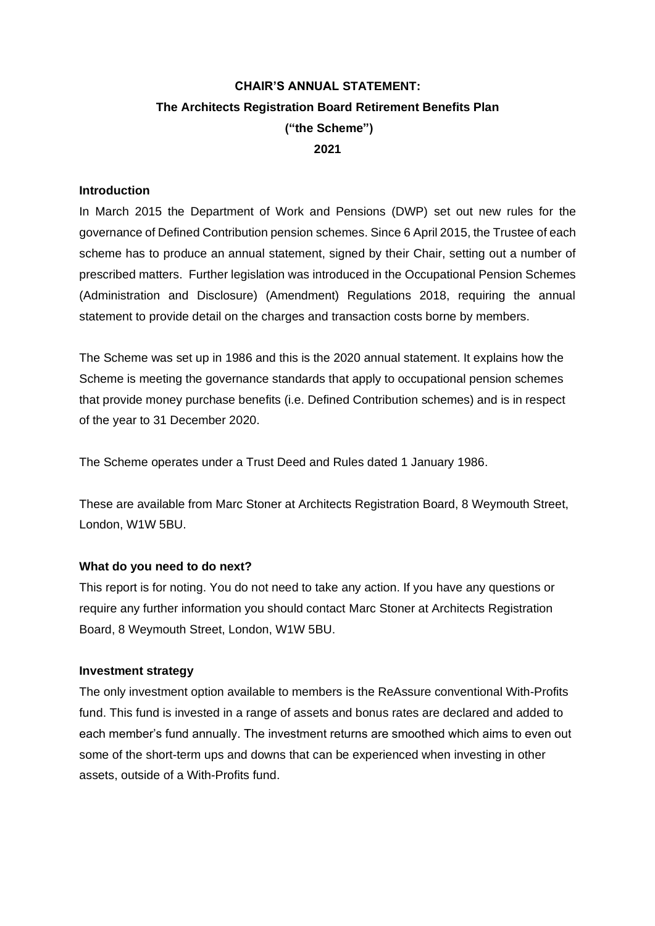# **CHAIR'S ANNUAL STATEMENT: The Architects Registration Board Retirement Benefits Plan ("the Scheme") 2021**

### **Introduction**

In March 2015 the Department of Work and Pensions (DWP) set out new rules for the governance of Defined Contribution pension schemes. Since 6 April 2015, the Trustee of each scheme has to produce an annual statement, signed by their Chair, setting out a number of prescribed matters. Further legislation was introduced in the Occupational Pension Schemes (Administration and Disclosure) (Amendment) Regulations 2018, requiring the annual statement to provide detail on the charges and transaction costs borne by members.

The Scheme was set up in 1986 and this is the 2020 annual statement. It explains how the Scheme is meeting the governance standards that apply to occupational pension schemes that provide money purchase benefits (i.e. Defined Contribution schemes) and is in respect of the year to 31 December 2020.

The Scheme operates under a Trust Deed and Rules dated 1 January 1986.

These are available from Marc Stoner at Architects Registration Board, 8 Weymouth Street, London, W1W 5BU.

### **What do you need to do next?**

This report is for noting. You do not need to take any action. If you have any questions or require any further information you should contact Marc Stoner at Architects Registration Board, 8 Weymouth Street, London, W1W 5BU.

#### **Investment strategy**

The only investment option available to members is the ReAssure conventional With-Profits fund. This fund is invested in a range of assets and bonus rates are declared and added to each member's fund annually. The investment returns are smoothed which aims to even out some of the short-term ups and downs that can be experienced when investing in other assets, outside of a With-Profits fund.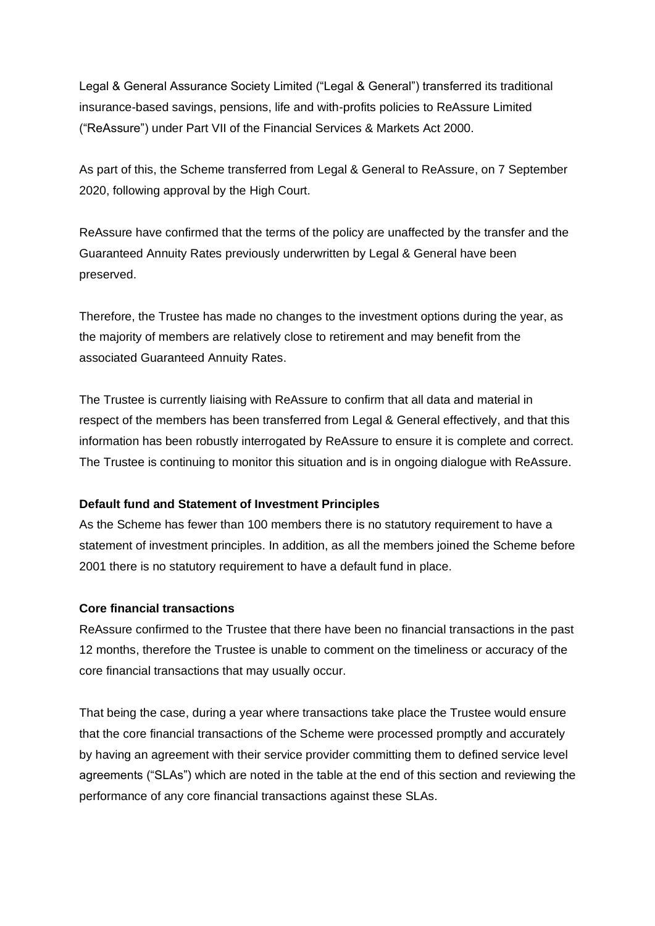Legal & General Assurance Society Limited ("Legal & General") transferred its traditional insurance-based savings, pensions, life and with-profits policies to ReAssure Limited ("ReAssure") under Part VII of the Financial Services & Markets Act 2000.

As part of this, the Scheme transferred from Legal & General to ReAssure, on 7 September 2020, following approval by the High Court.

ReAssure have confirmed that the terms of the policy are unaffected by the transfer and the Guaranteed Annuity Rates previously underwritten by Legal & General have been preserved.

Therefore, the Trustee has made no changes to the investment options during the year, as the majority of members are relatively close to retirement and may benefit from the associated Guaranteed Annuity Rates.

The Trustee is currently liaising with ReAssure to confirm that all data and material in respect of the members has been transferred from Legal & General effectively, and that this information has been robustly interrogated by ReAssure to ensure it is complete and correct. The Trustee is continuing to monitor this situation and is in ongoing dialogue with ReAssure.

# **Default fund and Statement of Investment Principles**

As the Scheme has fewer than 100 members there is no statutory requirement to have a statement of investment principles. In addition, as all the members joined the Scheme before 2001 there is no statutory requirement to have a default fund in place.

#### **Core financial transactions**

ReAssure confirmed to the Trustee that there have been no financial transactions in the past 12 months, therefore the Trustee is unable to comment on the timeliness or accuracy of the core financial transactions that may usually occur.

That being the case, during a year where transactions take place the Trustee would ensure that the core financial transactions of the Scheme were processed promptly and accurately by having an agreement with their service provider committing them to defined service level agreements ("SLAs") which are noted in the table at the end of this section and reviewing the performance of any core financial transactions against these SLAs.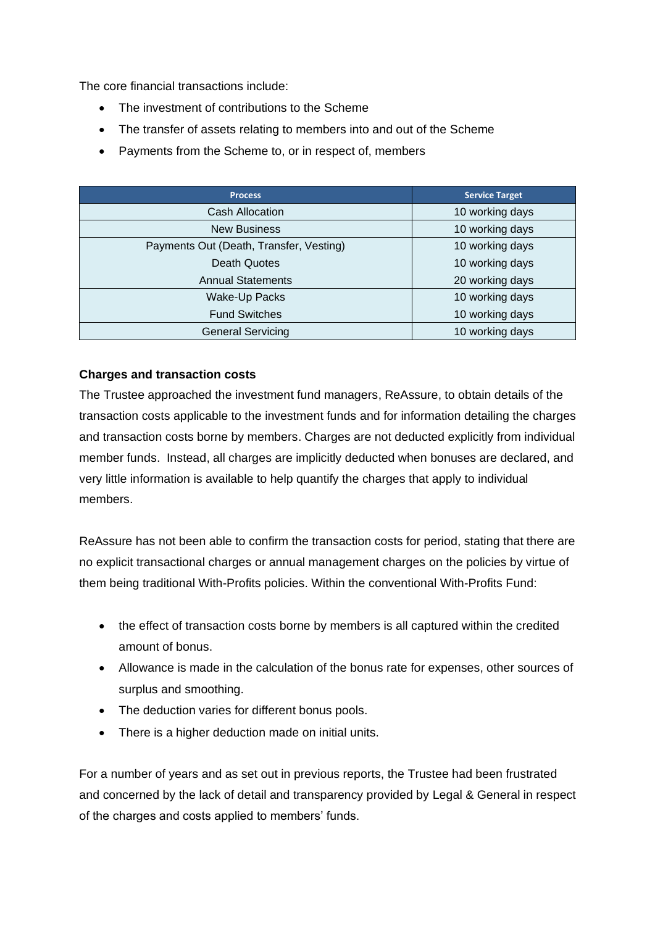The core financial transactions include:

- The investment of contributions to the Scheme
- The transfer of assets relating to members into and out of the Scheme
- Payments from the Scheme to, or in respect of, members

| <b>Process</b>                          | <b>Service Target</b> |  |
|-----------------------------------------|-----------------------|--|
| Cash Allocation                         | 10 working days       |  |
| <b>New Business</b>                     | 10 working days       |  |
| Payments Out (Death, Transfer, Vesting) | 10 working days       |  |
| <b>Death Quotes</b>                     | 10 working days       |  |
| <b>Annual Statements</b>                | 20 working days       |  |
| Wake-Up Packs                           | 10 working days       |  |
| <b>Fund Switches</b>                    | 10 working days       |  |
| <b>General Servicing</b>                | 10 working days       |  |

# **Charges and transaction costs**

The Trustee approached the investment fund managers, ReAssure, to obtain details of the transaction costs applicable to the investment funds and for information detailing the charges and transaction costs borne by members. Charges are not deducted explicitly from individual member funds. Instead, all charges are implicitly deducted when bonuses are declared, and very little information is available to help quantify the charges that apply to individual members.

ReAssure has not been able to confirm the transaction costs for period, stating that there are no explicit transactional charges or annual management charges on the policies by virtue of them being traditional With-Profits policies. Within the conventional With-Profits Fund:

- the effect of transaction costs borne by members is all captured within the credited amount of bonus.
- Allowance is made in the calculation of the bonus rate for expenses, other sources of surplus and smoothing.
- The deduction varies for different bonus pools.
- There is a higher deduction made on initial units.

For a number of years and as set out in previous reports, the Trustee had been frustrated and concerned by the lack of detail and transparency provided by Legal & General in respect of the charges and costs applied to members' funds.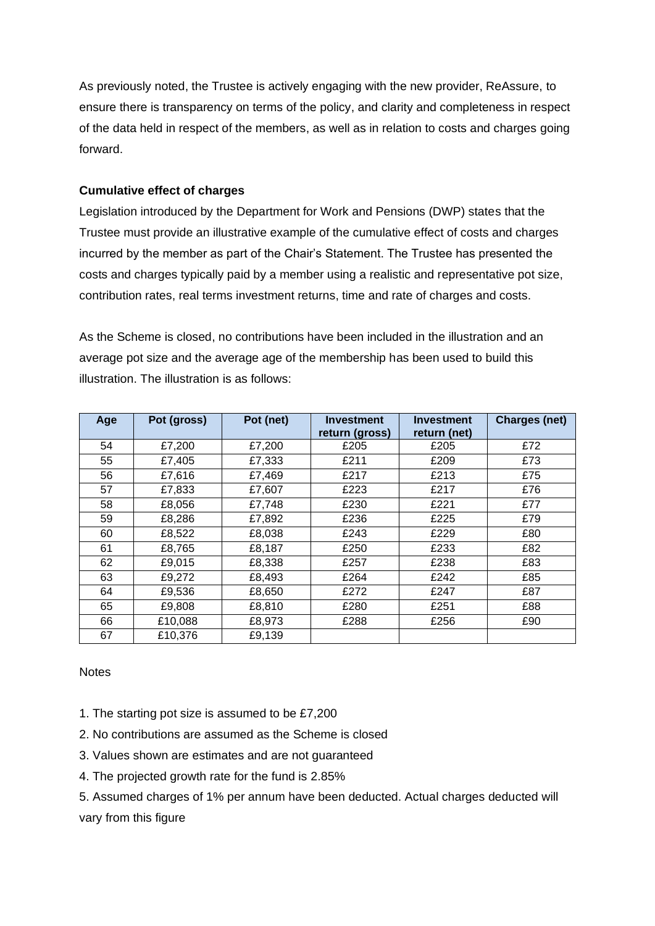As previously noted, the Trustee is actively engaging with the new provider, ReAssure, to ensure there is transparency on terms of the policy, and clarity and completeness in respect of the data held in respect of the members, as well as in relation to costs and charges going forward.

# **Cumulative effect of charges**

Legislation introduced by the Department for Work and Pensions (DWP) states that the Trustee must provide an illustrative example of the cumulative effect of costs and charges incurred by the member as part of the Chair's Statement. The Trustee has presented the costs and charges typically paid by a member using a realistic and representative pot size, contribution rates, real terms investment returns, time and rate of charges and costs.

As the Scheme is closed, no contributions have been included in the illustration and an average pot size and the average age of the membership has been used to build this illustration. The illustration is as follows:

| Age | Pot (gross) | Pot (net) | Investment<br>return (gross) | Investment<br>return (net) | <b>Charges (net)</b> |
|-----|-------------|-----------|------------------------------|----------------------------|----------------------|
| 54  | £7,200      | £7,200    | £205                         | £205                       | £72                  |
| 55  | £7,405      | £7,333    | £211                         | £209                       | £73                  |
| 56  | £7,616      | £7,469    | £217                         | £213                       | £75                  |
| 57  | £7,833      | £7,607    | £223                         | £217                       | £76                  |
| 58  | £8,056      | £7,748    | £230                         | £221                       | £77                  |
| 59  | £8,286      | £7,892    | £236                         | £225                       | £79                  |
| 60  | £8,522      | £8,038    | £243                         | £229                       | £80                  |
| 61  | £8,765      | £8,187    | £250                         | £233                       | £82                  |
| 62  | £9,015      | £8,338    | £257                         | £238                       | £83                  |
| 63  | £9,272      | £8,493    | £264                         | £242                       | £85                  |
| 64  | £9,536      | £8,650    | £272                         | £247                       | £87                  |
| 65  | £9,808      | £8,810    | £280                         | £251                       | £88                  |
| 66  | £10,088     | £8,973    | £288                         | £256                       | £90                  |
| 67  | £10,376     | £9,139    |                              |                            |                      |

**Notes** 

- 1. The starting pot size is assumed to be £7,200
- 2. No contributions are assumed as the Scheme is closed
- 3. Values shown are estimates and are not guaranteed
- 4. The projected growth rate for the fund is 2.85%

5. Assumed charges of 1% per annum have been deducted. Actual charges deducted will vary from this figure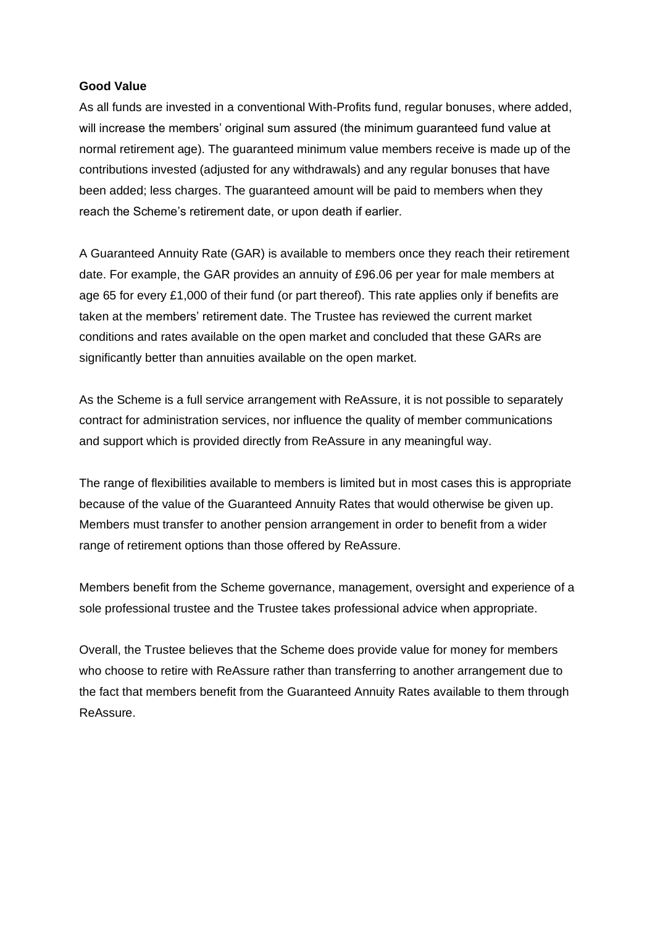### **Good Value**

As all funds are invested in a conventional With-Profits fund, regular bonuses, where added, will increase the members' original sum assured (the minimum guaranteed fund value at normal retirement age). The guaranteed minimum value members receive is made up of the contributions invested (adjusted for any withdrawals) and any regular bonuses that have been added; less charges. The guaranteed amount will be paid to members when they reach the Scheme's retirement date, or upon death if earlier.

A Guaranteed Annuity Rate (GAR) is available to members once they reach their retirement date. For example, the GAR provides an annuity of £96.06 per year for male members at age 65 for every £1,000 of their fund (or part thereof). This rate applies only if benefits are taken at the members' retirement date. The Trustee has reviewed the current market conditions and rates available on the open market and concluded that these GARs are significantly better than annuities available on the open market.

As the Scheme is a full service arrangement with ReAssure, it is not possible to separately contract for administration services, nor influence the quality of member communications and support which is provided directly from ReAssure in any meaningful way.

The range of flexibilities available to members is limited but in most cases this is appropriate because of the value of the Guaranteed Annuity Rates that would otherwise be given up. Members must transfer to another pension arrangement in order to benefit from a wider range of retirement options than those offered by ReAssure.

Members benefit from the Scheme governance, management, oversight and experience of a sole professional trustee and the Trustee takes professional advice when appropriate.

Overall, the Trustee believes that the Scheme does provide value for money for members who choose to retire with ReAssure rather than transferring to another arrangement due to the fact that members benefit from the Guaranteed Annuity Rates available to them through ReAssure.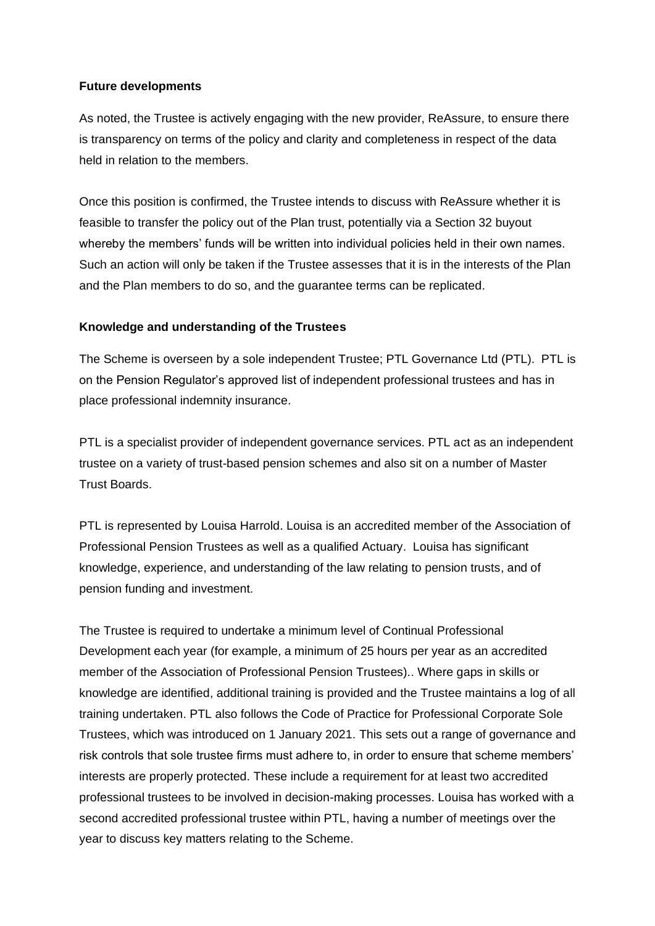### **Future developments**

As noted, the Trustee is actively engaging with the new provider, ReAssure, to ensure there is transparency on terms of the policy and clarity and completeness in respect of the data held in relation to the members.

Once this position is confirmed, the Trustee intends to discuss with ReAssure whether it is feasible to transfer the policy out of the Plan trust, potentially via a Section 32 buyout whereby the members' funds will be written into individual policies held in their own names. Such an action will only be taken if the Trustee assesses that it is in the interests of the Plan and the Plan members to do so, and the guarantee terms can be replicated.

# **Knowledge and understanding of the Trustees**

The Scheme is overseen by a sole independent Trustee; PTL Governance Ltd (PTL). PTL is on the Pension Regulator's approved list of independent professional trustees and has in place professional indemnity insurance.

PTL is a specialist provider of independent governance services. PTL act as an independent trustee on a variety of trust-based pension schemes and also sit on a number of Master Trust Boards.

PTL is represented by Louisa Harrold. Louisa is an accredited member of the Association of Professional Pension Trustees as well as a qualified Actuary. Louisa has significant knowledge, experience, and understanding of the law relating to pension trusts, and of pension funding and investment.

The Trustee is required to undertake a minimum level of Continual Professional Development each year (for example, a minimum of 25 hours per year as an accredited member of the Association of Professional Pension Trustees).. Where gaps in skills or knowledge are identified, additional training is provided and the Trustee maintains a log of all training undertaken. PTL also follows the Code of Practice for Professional Corporate Sole Trustees, which was introduced on 1 January 2021. This sets out a range of governance and risk controls that sole trustee firms must adhere to, in order to ensure that scheme members' interests are properly protected. These include a requirement for at least two accredited professional trustees to be involved in decision-making processes. Louisa has worked with a second accredited professional trustee within PTL, having a number of meetings over the year to discuss key matters relating to the Scheme.